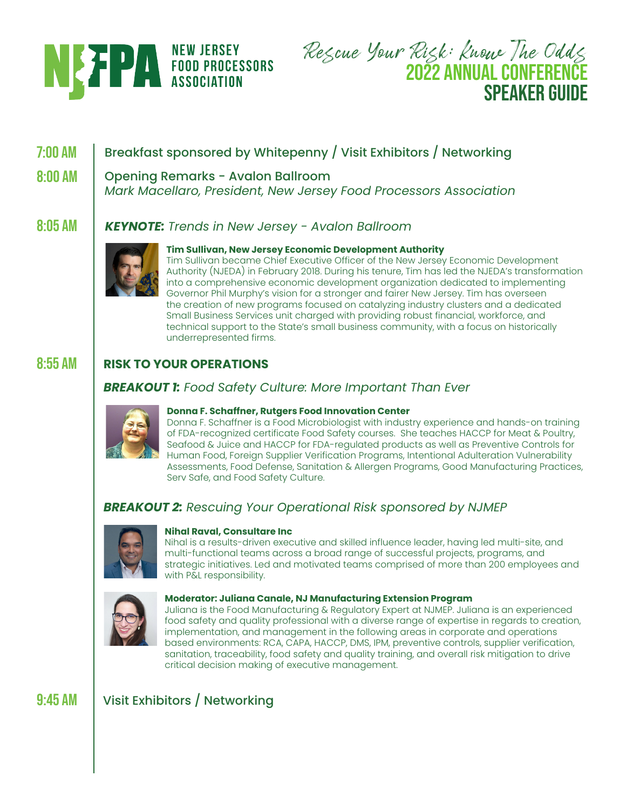

Rescue Your Risk: Know The Odds **2022 ANNUAL CONFERENCE SPEAKER GUIDE**

#### **7:00 AM** Breakfast sponsored by Whitepenny / Visit Exhibitors / Networking

#### **8:00 AM** Opening Remarks - Avalon Ballroom

*Mark Macellaro, President, New Jersey Food Processors Association*

#### **8:05 AM** *KEYNOTE: Trends in New Jersey - Avalon Ballroom*



# **Tim Sullivan, New Jersey Economic Development Authority**

Tim Sullivan became Chief Executive Officer of the New Jersey Economic Development Authority (NJEDA) in February 2018. During his tenure, Tim has led the NJEDA's transformation into a comprehensive economic development organization dedicated to implementing Governor Phil Murphy's vision for a stronger and fairer New Jersey. Tim has overseen the creation of new programs focused on catalyzing industry clusters and a dedicated Small Business Services unit charged with providing robust financial, workforce, and technical support to the State's small business community, with a focus on historically underrepresented firms.

#### **8:55 AM RISK TO YOUR OPERATIONS**

# *BREAKOUT 1: Food Safety Culture: More Important Than Ever*



### **Donna F. Schaffner, Rutgers Food Innovation Center**

Donna F. Schaffner is a Food Microbiologist with industry experience and hands-on training of FDA-recognized certificate Food Safety courses. She teaches HACCP for Meat & Poultry, Seafood & Juice and HACCP for FDA-regulated products as well as Preventive Controls for Human Food, Foreign Supplier Verification Programs, Intentional Adulteration Vulnerability Assessments, Food Defense, Sanitation & Allergen Programs, Good Manufacturing Practices, Serv Safe, and Food Safety Culture.

# *BREAKOUT 2: Rescuing Your Operational Risk sponsored by NJMEP*



### **Nihal Raval, Consultare Inc**

Nihal is a results-driven executive and skilled influence leader, having led multi-site, and multi-functional teams across a broad range of successful projects, programs, and strategic initiatives. Led and motivated teams comprised of more than 200 employees and with P&L responsibility.



### **Moderator: Juliana Canale, NJ Manufacturing Extension Program**

Juliana is the Food Manufacturing & Regulatory Expert at NJMEP. Juliana is an experienced food safety and quality professional with a diverse range of expertise in regards to creation, implementation, and management in the following areas in corporate and operations based environments: RCA, CAPA, HACCP, DMS, IPM, preventive controls, supplier verification, sanitation, traceability, food safety and quality training, and overall risk mitigation to drive critical decision making of executive management.

#### **9:45 AM** Visit Exhibitors / Networking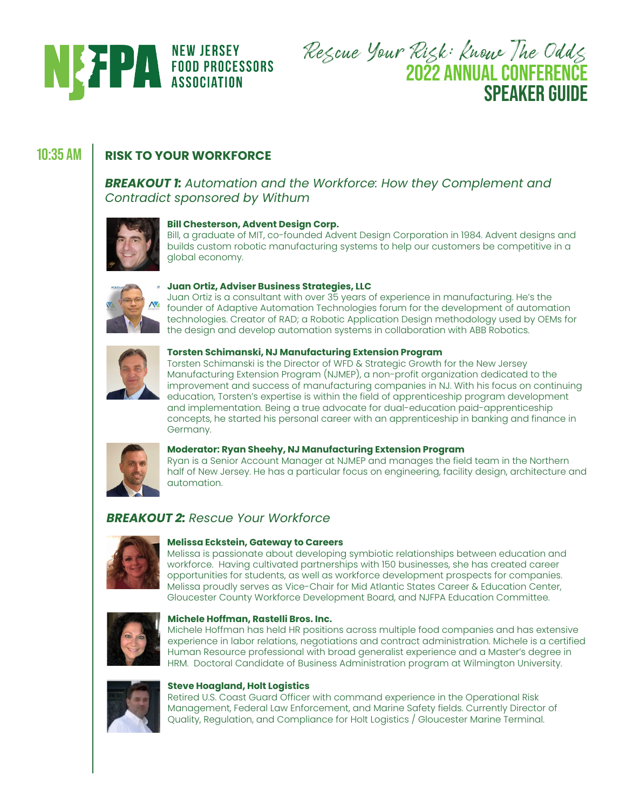

Rescue Your Risk: Know The Odds **2022 ANNUAL CONFERENCE SPEAKER GUIDE**

# **10:35 AM RISK TO YOUR WORKFORCE**

*BREAKOUT 1: Automation and the Workforce: How they Complement and Contradict sponsored by Withum*



### **Bill Chesterson, Advent Design Corp.**

Bill, a graduate of MIT, co-founded Advent Design Corporation in 1984. Advent designs and builds custom robotic manufacturing systems to help our customers be competitive in a global economy.



### **Juan Ortiz, Adviser Business Strategies, LLC**

Juan Ortiz is a consultant with over 35 years of experience in manufacturing. He's the founder of Adaptive Automation Technologies forum for the development of automation technologies. Creator of RAD; a Robotic Application Design methodology used by OEMs for the design and develop automation systems in collaboration with ABB Robotics.



### **Torsten Schimanski, NJ Manufacturing Extension Program**

Torsten Schimanski is the Director of WFD & Strategic Growth for the New Jersey Manufacturing Extension Program (NJMEP), a non-profit organization dedicated to the improvement and success of manufacturing companies in NJ. With his focus on continuing education, Torsten's expertise is within the field of apprenticeship program development and implementation. Being a true advocate for dual-education paid-apprenticeship concepts, he started his personal career with an apprenticeship in banking and finance in Germany.



### **Moderator: Ryan Sheehy, NJ Manufacturing Extension Program**

Ryan is a Senior Account Manager at NJMEP and manages the field team in the Northern half of New Jersey. He has a particular focus on engineering, facility design, architecture and automation.

## *BREAKOUT 2: Rescue Your Workforce*



### **Melissa Eckstein, Gateway to Careers**

Melissa is passionate about developing symbiotic relationships between education and workforce. Having cultivated partnerships with 150 businesses, she has created career opportunities for students, as well as workforce development prospects for companies. Melissa proudly serves as Vice-Chair for Mid Atlantic States Career & Education Center, Gloucester County Workforce Development Board, and NJFPA Education Committee.



### **Michele Hoffman, Rastelli Bros. Inc.**

Michele Hoffman has held HR positions across multiple food companies and has extensive experience in labor relations, negotiations and contract administration. Michele is a certified Human Resource professional with broad generalist experience and a Master's degree in HRM. Doctoral Candidate of Business Administration program at Wilmington University.



### **Steve Hoagland, Holt Logistics**

Retired U.S. Coast Guard Officer with command experience in the Operational Risk Management, Federal Law Enforcement, and Marine Safety fields. Currently Director of Quality, Regulation, and Compliance for Holt Logistics / Gloucester Marine Terminal.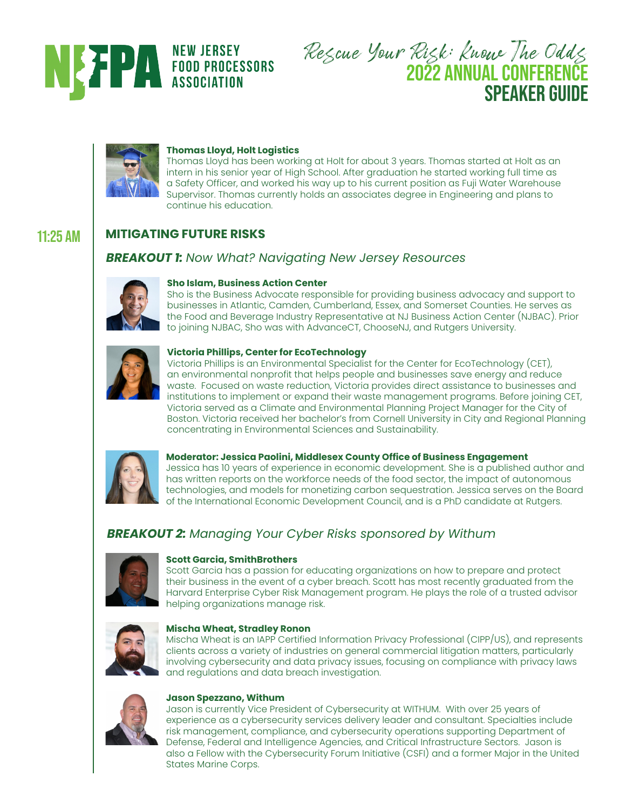

Rescue Your Risk: Know The Odds **2022 ANNUAL CONFERENCE SPEAKER GUIDE** 



### **Thomas Lloyd, Holt Logistics**

Thomas Lloyd has been working at Holt for about 3 years. Thomas started at Holt as an intern in his senior year of High School. After graduation he started working full time as a Safety Officer, and worked his way up to his current position as Fuji Water Warehouse Supervisor. Thomas currently holds an associates degree in Engineering and plans to continue his education.

#### **MITIGATING FUTURE RISKS 11:25 AM**

# *BREAKOUT 1: Now What? Navigating New Jersey Resources*



### **Sho Islam, Business Action Center**

Sho is the Business Advocate responsible for providing business advocacy and support to businesses in Atlantic, Camden, Cumberland, Essex, and Somerset Counties. He serves as the Food and Beverage Industry Representative at NJ Business Action Center (NJBAC). Prior to joining NJBAC, Sho was with AdvanceCT, ChooseNJ, and Rutgers University.



### **Victoria Phillips, Center for EcoTechnology**

Victoria Phillips is an Environmental Specialist for the Center for EcoTechnology (CET), an environmental nonprofit that helps people and businesses save energy and reduce waste. Focused on waste reduction, Victoria provides direct assistance to businesses and institutions to implement or expand their waste management programs. Before joining CET, Victoria served as a Climate and Environmental Planning Project Manager for the City of Boston. Victoria received her bachelor's from Cornell University in City and Regional Planning concentrating in Environmental Sciences and Sustainability.



### **Moderator: Jessica Paolini, Middlesex County Office of Business Engagement**

Jessica has 10 years of experience in economic development. She is a published author and has written reports on the workforce needs of the food sector, the impact of autonomous technologies, and models for monetizing carbon sequestration. Jessica serves on the Board of the International Economic Development Council, and is a PhD candidate at Rutgers.

# *BREAKOUT 2: Managing Your Cyber Risks sponsored by Withum*



### **Scott Garcia, SmithBrothers**

Scott Garcia has a passion for educating organizations on how to prepare and protect their business in the event of a cyber breach. Scott has most recently graduated from the Harvard Enterprise Cyber Risk Management program. He plays the role of a trusted advisor helping organizations manage risk.



### **Mischa Wheat, Stradley Ronon**

Mischa Wheat is an IAPP Certified Information Privacy Professional (CIPP/US), and represents clients across a variety of industries on general commercial litigation matters, particularly involving cybersecurity and data privacy issues, focusing on compliance with privacy laws and regulations and data breach investigation.



### **Jason Spezzano, Withum**

Jason is currently Vice President of Cybersecurity at WITHUM. With over 25 years of experience as a cybersecurity services delivery leader and consultant. Specialties include risk management, compliance, and cybersecurity operations supporting Department of Defense, Federal and Intelligence Agencies, and Critical Infrastructure Sectors. Jason is also a Fellow with the Cybersecurity Forum Initiative (CSFI) and a former Major in the United States Marine Corps.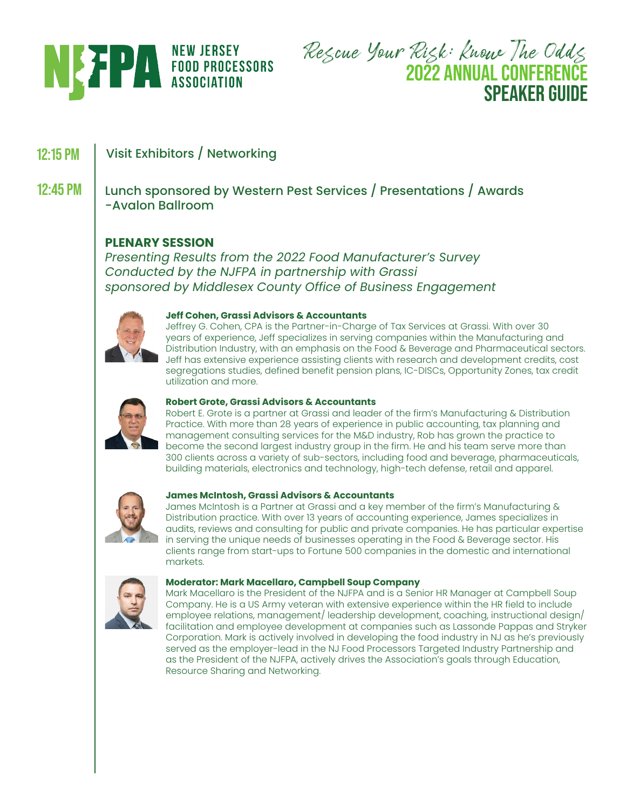

Rescue Your Risk: Know The Odds **2022 ANNUAL CONFERENCE SPEAKER GUIDE**

#### **12:15 PM** Visit Exhibitors / Networking

**12:45 PM** Lunch sponsored by Western Pest Services / Presentations / Awards -Avalon Ballroom

# **PLENARY SESSION**

*Presenting Results from the 2022 Food Manufacturer's Survey Conducted by the NJFPA in partnership with Grassi sponsored by Middlesex County Office of Business Engagement*



### **Jeff Cohen, Grassi Advisors & Accountants**

Jeffrey G. Cohen, CPA is the Partner-in-Charge of Tax Services at Grassi. With over 30 years of experience, Jeff specializes in serving companies within the Manufacturing and Distribution Industry, with an emphasis on the Food & Beverage and Pharmaceutical sectors. Jeff has extensive experience assisting clients with research and development credits, cost segregations studies, defined benefit pension plans, IC-DISCs, Opportunity Zones, tax credit utilization and more.



### **Robert Grote, Grassi Advisors & Accountants**

Robert E. Grote is a partner at Grassi and leader of the firm's Manufacturing & Distribution Practice. With more than 28 years of experience in public accounting, tax planning and management consulting services for the M&D industry, Rob has grown the practice to become the second largest industry group in the firm. He and his team serve more than 300 clients across a variety of sub-sectors, including food and beverage, pharmaceuticals, building materials, electronics and technology, high-tech defense, retail and apparel.



### **James McIntosh, Grassi Advisors & Accountants**

James McIntosh is a Partner at Grassi and a key member of the firm's Manufacturing & Distribution practice. With over 13 years of accounting experience, James specializes in audits, reviews and consulting for public and private companies. He has particular expertise in serving the unique needs of businesses operating in the Food & Beverage sector. His clients range from start-ups to Fortune 500 companies in the domestic and international markets.



### **Moderator: Mark Macellaro, Campbell Soup Company**

Mark Macellaro is the President of the NJFPA and is a Senior HR Manager at Campbell Soup Company. He is a US Army veteran with extensive experience within the HR field to include employee relations, management/ leadership development, coaching, instructional design/ facilitation and employee development at companies such as Lassonde Pappas and Stryker Corporation. Mark is actively involved in developing the food industry in NJ as he's previously served as the employer-lead in the NJ Food Processors Targeted Industry Partnership and as the President of the NJFPA, actively drives the Association's goals through Education, Resource Sharing and Networking.